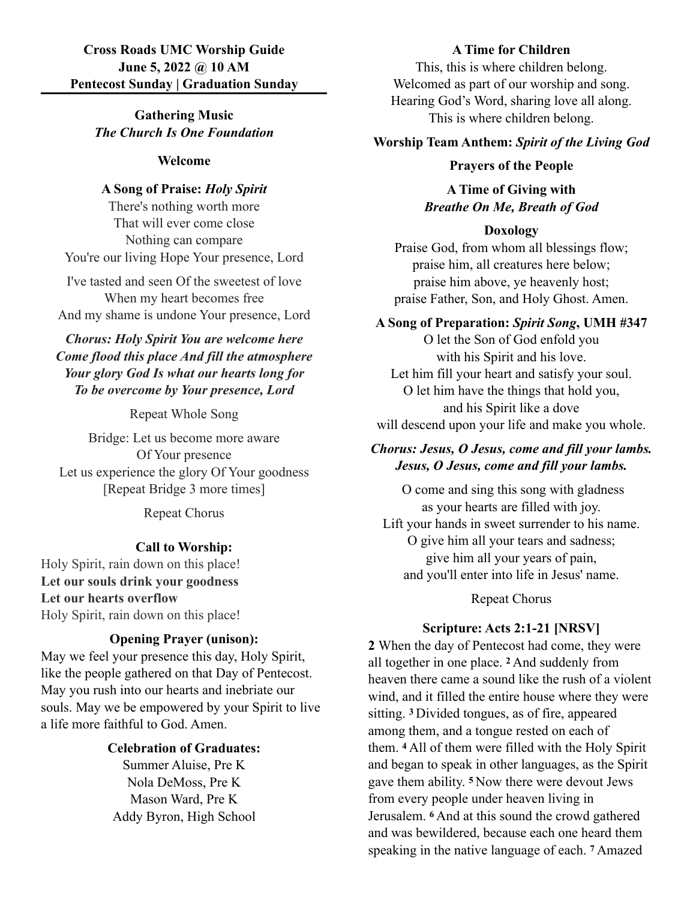# **Cross Roads UMC Worship Guide June 5, 2022 @ 10 AM Pentecost Sunday | Graduation Sunday**

**Gathering Music** *The Church Is One Foundation*

#### **Welcome**

## **A Song of Praise:** *Holy Spirit*

There's nothing worth more That will ever come close Nothing can compare You're our living Hope Your presence, Lord

I've tasted and seen Of the sweetest of love When my heart becomes free And my shame is undone Your presence, Lord

# *Chorus: Holy Spirit You are welcome here Come flood this place And fill the atmosphere Your glory God Is what our hearts long for To be overcome by Your presence, Lord*

Repeat Whole Song

Bridge: Let us become more aware Of Your presence Let us experience the glory Of Your goodness [Repeat Bridge 3 more times]

Repeat Chorus

### **Call to Worship:**

Holy Spirit, rain down on this place! **Let our souls drink your goodness Let our hearts overflow** Holy Spirit, rain down on this place!

# **Opening Prayer (unison):**

May we feel your presence this day, Holy Spirit, like the people gathered on that Day of Pentecost. May you rush into our hearts and inebriate our souls. May we be empowered by your Spirit to live a life more faithful to God. Amen.

#### **Celebration of Graduates:**

Summer Aluise, Pre K Nola DeMoss, Pre K Mason Ward, Pre K Addy Byron, High School

#### **A Time for Children**

This, this is where children belong. Welcomed as part of our worship and song. Hearing God's Word, sharing love all along. This is where children belong.

#### **Worship Team Anthem:** *Spirit of the Living God*

#### **Prayers of the People**

**A Time of Giving with** *Breathe On Me, Breath of God*

#### **Doxology**

Praise God, from whom all blessings flow; praise him, all creatures here below; praise him above, ye heavenly host; praise Father, Son, and Holy Ghost. Amen.

## **A Song of Preparation:** *Spirit Song***, UMH #347**

O let the Son of God enfold you with his Spirit and his love. Let him fill your heart and satisfy your soul. O let him have the things that hold you, and his Spirit like a dove will descend upon your life and make you whole.

# *Chorus: Jesus, O Jesus, come and fill your lambs. Jesus, O Jesus, come and fill your lambs.*

 O come and sing this song with gladness as your hearts are filled with joy. Lift your hands in sweet surrender to his name. O give him all your tears and sadness; give him all your years of pain, and you'll enter into life in Jesus' name.

Repeat Chorus

### **Scripture: Acts 2:1-21 [NRSV]**

**2** When the day of Pentecost had come, they were all together in one place. **2** And suddenly from heaven there came a sound like the rush of a violent wind, and it filled the entire house where they were sitting. **3** Divided tongues, as of fire, appeared among them, and a tongue rested on each of them. **4** All of them were filled with the Holy Spirit and began to speak in other languages, as the Spirit gave them ability. **5** Now there were devout Jews from every people under heaven living in Jerusalem. **6** And at this sound the crowd gathered and was bewildered, because each one heard them speaking in the native language of each. **7** Amazed